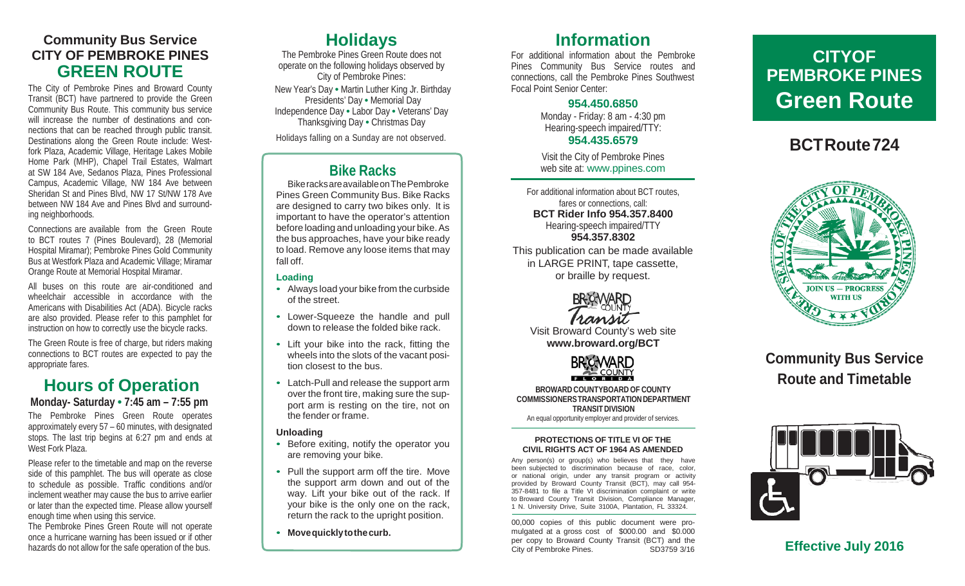#### **Community Bus Service CITY OF PEMBROKE PINES GREEN ROUTE**

The City of Pembroke Pines and Broward County Transit (BCT) have partnered to provide the Green Community Bus Route. This community bus service will increase the number of destinations and connections that can be reached through public transit. Destinations along the Green Route include: Westfork Plaza, Academic Village, Heritage Lakes Mobile Home Park (MHP), Chapel Trail Estates, Walmart at SW 184 Ave, Sedanos Plaza, Pines Professional Campus, Academic Village, NW 184 Ave between Sheridan St and Pines Blvd, NW 17 St/NW 178 Ave between NW 184 Ave and Pines Blvd and surrounding neighborhoods.

Connections are available from the Green Route to BCT routes 7 (Pines Boulevard), 28 (Memorial Hospital Miramar); Pembroke Pines Gold Community Bus at Westfork Plaza and Academic Village; Miramar Orange Route at Memorial Hospital Miramar.

All buses on this route are air-conditioned and wheelchair accessible in accordance with the Americans with Disabilities Act (ADA). Bicycle racks are also provided. Please refer to this pamphlet for instruction on how to correctly use the bicycle racks.

The Green Route is free of charge, but riders making connections to BCT routes are expected to pay the appropriate fares.

## **Hours of Operation**

**Monday- Saturday • 7:45 am – 7:55 pm** The Pembroke Pines Green Route operates approximately every 57 – 60 minutes, with designated stops. The last trip begins at 6:27 pm and ends at West Fork Plaza.

Please refer to the timetable and map on the reverse side of this pamphlet. The bus will operate as close to schedule as possible. Traffic conditions and/or inclement weather may cause the bus to arrive earlier or later than the expected time. Please allow yourself enough time when using this service.

The Pembroke Pines Green Route will not operate once a hurricane warning has been issued or if other hazards do not allow for the safe operation of the bus.

## **Holidays**

The Pembroke Pines Green Route does not operate on the following holidays observed by City of Pembroke Pines: New Year's Day **•** Martin Luther King Jr. Birthday Presidents' Day **•** Memorial Day Independence Day **•** Labor Day **•** Veterans' Day Thanksgiving Day **•** Christmas Day

Holidays falling on a Sunday are not observed.

### **Bike Racks**

BikeracksareavailableonThePembroke Pines Green Community Bus. Bike Racks are designed to carry two bikes only. It is important to have the operator's attention before loading and unloading your bike.As the bus approaches, have your bike ready to load. Remove any loose items that may fall off.

- **Loading** Always load your bike from the curbside of the street.
- Lower -Squeeze the handle and pull down to release the folded bike rack.
- Lift your bike into the rack, fitting the wheels into the slots of the vacant posi tion closest to the bus.
- Latch -Pull and release the support arm over the front tire, making sure the sup port arm is resting on the tire, not on the fender or frame.

- **Unloading**<br>• Before exiting, notify the operator you are removing your bike.
- Pull the support arm off the tire. Move the support arm down and out of the way. Lift your bike out of the rack. If your bike is the only one on the rack, return the rack to the upright position.
- **Movequicklytothecurb.**

### **Information**

For additional information about the Pembroke Pines Community Bus Service routes and connections, call the Pembroke Pines Southwest Focal Point Senior Center:

#### **954.450.6850**

Monday - Friday: 8 am - 4:30 pm Hearing-speech impaired/TTY: **954.435.6579**

Visit the City of Pembroke Pines web site at: [www.ppines.com](http://www.ppines.com/)

For additional information about BCT routes, fares or connections, call: **BCT Rider Info 954.357.8400** Hearing-speech impaired/TTY **954.357.8302**

This publication can be made available in LARGE PRINT, tape cassette, or braille by request.



Visit Broward County's web site **[www.broward.org/BCT](http://www.broward.org/BCT)**



**BROWARDCOUNTYBOARDOF COUNTY COMMISSIONERSTRANSPORTATIONDEPARTMENT TRANSITDIVISION** An equal opportunity employer and provider of services.

#### **PROTECTIONS OF TITLE VI OF THE CIVIL RIGHTS ACT OF 1964 AS AMENDED**

Any person(s) or group(s) who believes that they been subjected to discrimination because of race, color, or national origin, under any transit program or activity provided by Broward County Transit (BCT), may call 954 - 357 -8481 to file a Title VI discrimination complaint or write to Broward County Transit Division, Compliance Manager, 1 N. University Drive, Suite 3100A, Plantation, FL 33324.

00,000 copies of this public document were pro mulgated at a gross cost of \$000.00 and \$0.000 per copy to Broward County Transit (BCT) and the City of Pembroke Pines. SD3759 3/16

# **CITYOF PEMBROKE PINES Green Route**

# **BCTRoute724**



**Community Bus Service Route and Timetable**



**Effective July 2016**